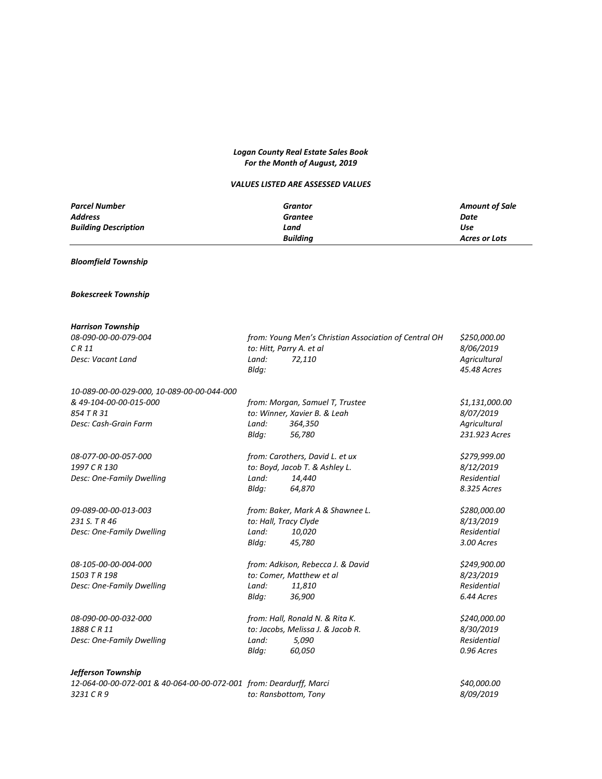# *Logan County Real Estate Sales Book For the Month of August, 2019*

## *VALUES LISTED ARE ASSESSED VALUES*

| <b>Parcel Number</b>        | Grantor         | <b>Amount of Sale</b> |
|-----------------------------|-----------------|-----------------------|
| <b>Address</b>              | Grantee         | Date                  |
| <b>Building Description</b> | Land            | Use                   |
|                             | <b>Buildina</b> | Acres or Lots         |

## *Bloomfield Township*

### *Bokescreek Township*

| <b>Harrison Township</b>                                           |                                                       |                                   |                |
|--------------------------------------------------------------------|-------------------------------------------------------|-----------------------------------|----------------|
| 08-090-00-00-079-004                                               | from: Young Men's Christian Association of Central OH | \$250,000.00                      |                |
| CR11                                                               |                                                       | to: Hitt, Parry A. et al          | 8/06/2019      |
| Desc: Vacant Land                                                  | Land:                                                 | 72,110                            | Agricultural   |
|                                                                    | Bldg:                                                 |                                   | 45.48 Acres    |
| 10-089-00-00-029-000, 10-089-00-00-044-000                         |                                                       |                                   |                |
| & 49-104-00-00-015-000                                             |                                                       | from: Morgan, Samuel T, Trustee   | \$1,131,000.00 |
| 854 T R 31                                                         |                                                       | to: Winner, Xavier B. & Leah      | 8/07/2019      |
| Desc: Cash-Grain Farm                                              | Land:                                                 | 364,350                           | Agricultural   |
|                                                                    | Blda:                                                 | 56,780                            | 231.923 Acres  |
| 08-077-00-00-057-000                                               |                                                       | from: Carothers, David L. et ux   | \$279,999.00   |
| 1997 C R 130                                                       |                                                       | to: Boyd, Jacob T. & Ashley L.    | 8/12/2019      |
| Desc: One-Family Dwelling                                          | Land:                                                 | 14,440                            | Residential    |
|                                                                    | Bldg:                                                 | 64,870                            | 8.325 Acres    |
| 09-089-00-00-013-003                                               |                                                       | from: Baker, Mark A & Shawnee L.  |                |
| 231 S. T R 46                                                      | to: Hall, Tracy Clyde                                 |                                   | 8/13/2019      |
| Desc: One-Family Dwelling                                          | Land:                                                 | 10,020                            | Residential    |
|                                                                    | Bldg:                                                 | 45,780                            | 3.00 Acres     |
| 08-105-00-00-004-000                                               | from: Adkison, Rebecca J. & David                     |                                   | \$249,900.00   |
| 1503 T R 198                                                       | to: Comer, Matthew et al                              |                                   | 8/23/2019      |
| Desc: One-Family Dwelling                                          | Land:                                                 | 11,810                            | Residential    |
|                                                                    | Bldg:                                                 | 36,900                            | 6.44 Acres     |
| 08-090-00-00-032-000                                               |                                                       | from: Hall, Ronald N. & Rita K.   | \$240,000.00   |
| 1888 CR 11                                                         |                                                       | to: Jacobs, Melissa J. & Jacob R. | 8/30/2019      |
| Desc: One-Family Dwelling                                          | Land:                                                 | 5,090                             | Residential    |
|                                                                    | Bldg:                                                 | 60,050                            | 0.96 Acres     |
| Jefferson Township                                                 |                                                       |                                   |                |
| 12-064-00-00-072-001 & 40-064-00-00-072-001 from: Deardurff, Marci |                                                       |                                   | \$40,000.00    |

*3231 C R 9 to: Ransbottom, Tony 8/09/2019*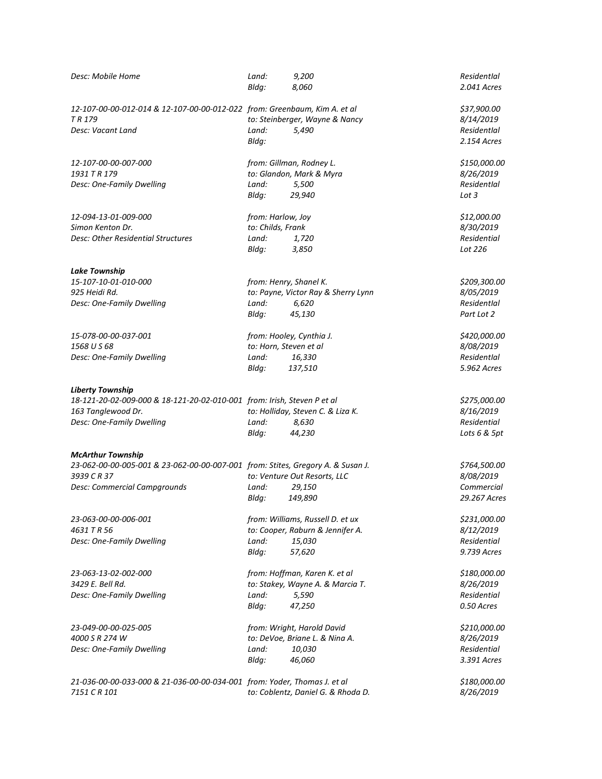| Desc: Mobile Home                                                                                           | Land:<br>Bldg:                         | 9,200<br>8,060                                                       | Residentlal<br>2.041 Acres              |
|-------------------------------------------------------------------------------------------------------------|----------------------------------------|----------------------------------------------------------------------|-----------------------------------------|
| 12-107-00-00-012-014 & 12-107-00-00-012-022 from: Greenbaum, Kim A. et al<br>TR <sub>179</sub>              |                                        | to: Steinberger, Wayne & Nancy                                       | \$37,900.00<br>8/14/2019<br>Residentlal |
| Desc: Vacant Land                                                                                           | Land:<br>Bldg:                         | 5,490                                                                | 2.154 Acres                             |
| 12-107-00-00-007-000<br>1931 T R 179                                                                        |                                        | from: Gillman, Rodney L.<br>to: Glandon, Mark & Myra                 | \$150,000.00<br>8/26/2019               |
| Desc: One-Family Dwelling                                                                                   | Land:<br>Bldg:                         | 5,500<br>29,940                                                      | Residentlal<br>Lot $3$                  |
| 12-094-13-01-009-000<br>Simon Kenton Dr.                                                                    | from: Harlow, Joy<br>to: Childs, Frank |                                                                      | \$12,000.00<br>8/30/2019                |
| Desc: Other Residential Structures                                                                          | Land:<br>Bldg:                         | 1,720<br>3,850                                                       | Residential<br>Lot 226                  |
| <b>Lake Township</b><br>15-107-10-01-010-000                                                                |                                        |                                                                      |                                         |
| 925 Heidi Rd.                                                                                               |                                        | from: Henry, Shanel K.<br>to: Payne, Victor Ray & Sherry Lynn        | \$209,300.00<br>8/05/2019               |
| Desc: One-Family Dwelling                                                                                   | Land:                                  | 6,620                                                                | Residentlal                             |
|                                                                                                             | Bldg:                                  | 45,130                                                               | Part Lot 2                              |
| 15-078-00-00-037-001                                                                                        |                                        | from: Hooley, Cynthia J.                                             | \$420,000.00                            |
| 1568 U S 68<br>Desc: One-Family Dwelling                                                                    | Land:                                  | to: Horn, Steven et al<br>16,330                                     | 8/08/2019<br>Residentlal                |
|                                                                                                             | Bldg:                                  | 137,510                                                              | 5.962 Acres                             |
| <b>Liberty Township</b>                                                                                     |                                        |                                                                      |                                         |
| 18-121-20-02-009-000 & 18-121-20-02-010-001 from: Irish, Steven P et al                                     |                                        |                                                                      | \$275,000.00                            |
| 163 Tanglewood Dr.<br>Desc: One-Family Dwelling                                                             | Land:                                  | to: Holliday, Steven C. & Liza K.<br>8,630                           | 8/16/2019<br>Residential                |
|                                                                                                             | Bldg:                                  | 44,230                                                               | Lots 6 & 5pt                            |
| <b>McArthur Township</b><br>23-062-00-00-005-001 & 23-062-00-00-007-001 from: Stites, Gregory A. & Susan J. |                                        |                                                                      | \$764,500.00                            |
| 3939 C R 37                                                                                                 |                                        | to: Venture Out Resorts, LLC                                         | <i>8/08/2019</i>                        |
| Desc: Commercial Campgrounds                                                                                | Land:                                  | 29,150                                                               | Commercial                              |
|                                                                                                             | Bldg:                                  | 149,890                                                              | 29.267 Acres                            |
| 23-063-00-00-006-001<br>4631 T R 56                                                                         |                                        | from: Williams, Russell D. et ux<br>to: Cooper, Raburn & Jennifer A. | \$231,000.00<br>8/12/2019               |
| Desc: One-Family Dwelling                                                                                   | Land:                                  | 15,030                                                               | Residential                             |
|                                                                                                             | Bldg:                                  | 57,620                                                               | 9.739 Acres                             |
| 23-063-13-02-002-000<br>3429 E. Bell Rd.                                                                    |                                        | from: Hoffman, Karen K. et al                                        | \$180,000.00                            |
| Desc: One-Family Dwelling                                                                                   | Land:                                  | to: Stakey, Wayne A. & Marcia T.<br>5,590                            | 8/26/2019<br>Residential                |
|                                                                                                             | Bldg:                                  | 47,250                                                               | 0.50 Acres                              |
| 23-049-00-00-025-005                                                                                        |                                        | from: Wright, Harold David                                           | \$210,000.00                            |
| 4000 S R 274 W                                                                                              |                                        | to: DeVoe, Briane L. & Nina A.                                       | 8/26/2019                               |
| Desc: One-Family Dwelling                                                                                   | Land:<br>Bldg:                         | 10,030<br>46,060                                                     | Residential<br>3.391 Acres              |
| 21-036-00-00-033-000 & 21-036-00-00-034-001 from: Yoder, Thomas J. et al                                    |                                        |                                                                      | \$180,000.00                            |
| 7151 C R 101                                                                                                |                                        | to: Coblentz, Daniel G. & Rhoda D.                                   | 8/26/2019                               |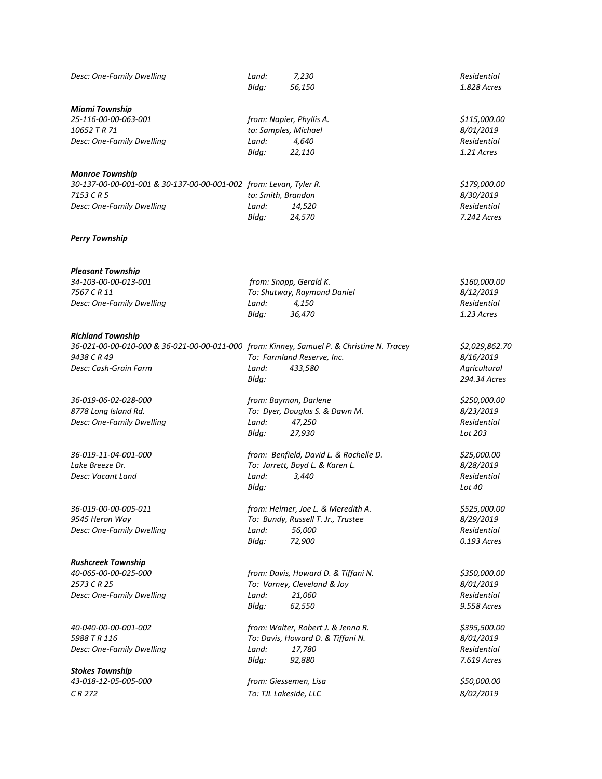| Desc: One-Family Dwelling                                                                 | Land:<br>Bldg: | 7,230<br>56,150                        | Residential<br>1.828 Acres |
|-------------------------------------------------------------------------------------------|----------------|----------------------------------------|----------------------------|
| <b>Miami Township</b>                                                                     |                |                                        |                            |
| 25-116-00-00-063-001                                                                      |                | from: Napier, Phyllis A.               | \$115,000.00               |
| 10652 T R 71                                                                              |                | to: Samples, Michael                   | 8/01/2019                  |
| Desc: One-Family Dwelling                                                                 | Land:          | 4,640                                  | Residential                |
|                                                                                           | Bldg:          | 22,110                                 | 1.21 Acres                 |
| <b>Monroe Township</b>                                                                    |                |                                        |                            |
| 30-137-00-00-001-001 & 30-137-00-00-001-002 from: Levan, Tyler R.                         |                |                                        | \$179,000.00               |
| 7153 CR 5                                                                                 |                | to: Smith, Brandon                     | 8/30/2019                  |
| Desc: One-Family Dwelling                                                                 | Land:          | 14,520                                 | Residential                |
|                                                                                           | Bldg:          | 24,570                                 | 7.242 Acres                |
| <b>Perry Township</b>                                                                     |                |                                        |                            |
| <b>Pleasant Township</b>                                                                  |                |                                        |                            |
| 34-103-00-00-013-001                                                                      |                | from: Snapp, Gerald K.                 | \$160,000.00               |
| 7567 C R 11                                                                               |                | To: Shutway, Raymond Daniel            | 8/12/2019                  |
| Desc: One-Family Dwelling                                                                 | Land:          | 4,150                                  | Residential                |
|                                                                                           | Bldg:          | 36,470                                 | 1.23 Acres                 |
| <b>Richland Township</b>                                                                  |                |                                        |                            |
| 36-021-00-00-010-000 & 36-021-00-00-011-000 from: Kinney, Samuel P. & Christine N. Tracey |                |                                        | \$2,029,862.70             |
| 9438 C R 49                                                                               |                | To: Farmland Reserve, Inc.             | 8/16/2019                  |
| Desc: Cash-Grain Farm                                                                     | Land:          | 433,580                                | Agricultural               |
|                                                                                           | Bldq:          |                                        | 294.34 Acres               |
| 36-019-06-02-028-000                                                                      |                | from: Bayman, Darlene                  | \$250,000.00               |
| 8778 Long Island Rd.                                                                      |                | To: Dyer, Douglas S. & Dawn M.         | 8/23/2019                  |
| Desc: One-Family Dwelling                                                                 | Land:          | 47,250                                 | Residential                |
|                                                                                           | Bldg:          | 27,930                                 | Lot 203                    |
| 36-019-11-04-001-000                                                                      |                | from: Benfield, David L. & Rochelle D. | \$25,000.00                |
| Lake Breeze Dr.                                                                           |                | To: Jarrett, Boyd L. & Karen L.        | 8/28/2019                  |
| Desc: Vacant Land                                                                         | Land:          | 3,440                                  | Residential                |
|                                                                                           | Bldg:          |                                        | Lot 40                     |
| 36-019-00-00-005-011                                                                      |                | from: Helmer, Joe L. & Meredith A.     | \$525,000.00               |
| 9545 Heron Way                                                                            |                | To: Bundy, Russell T. Jr., Trustee     | 8/29/2019                  |
| Desc: One-Family Dwelling                                                                 | Land:          | 56,000                                 | Residential                |
|                                                                                           | Bldg:          | 72,900                                 | 0.193 Acres                |
| <b>Rushcreek Township</b>                                                                 |                |                                        |                            |
| 40-065-00-00-025-000                                                                      |                | from: Davis, Howard D. & Tiffani N.    | \$350,000.00               |
| 2573 C R 25                                                                               |                | To: Varney, Cleveland & Joy            | 8/01/2019                  |
| Desc: One-Family Dwelling                                                                 | Land:          | 21,060                                 | Residential<br>9.558 Acres |
|                                                                                           | Bldg:          | 62,550                                 |                            |
| 40-040-00-00-001-002                                                                      |                | from: Walter, Robert J. & Jenna R.     | \$395,500.00               |
| 5988 T R 116                                                                              |                | To: Davis, Howard D. & Tiffani N.      | 8/01/2019                  |
| Desc: One-Family Dwelling                                                                 | Land:<br>Bldg: | 17,780<br>92,880                       | Residential<br>7.619 Acres |
| <b>Stokes Township</b>                                                                    |                |                                        |                            |
| 43-018-12-05-005-000                                                                      |                | from: Giessemen, Lisa                  | \$50,000.00                |
| CR 272                                                                                    |                | To: TJL Lakeside, LLC                  | 8/02/2019                  |
|                                                                                           |                |                                        |                            |
|                                                                                           |                |                                        |                            |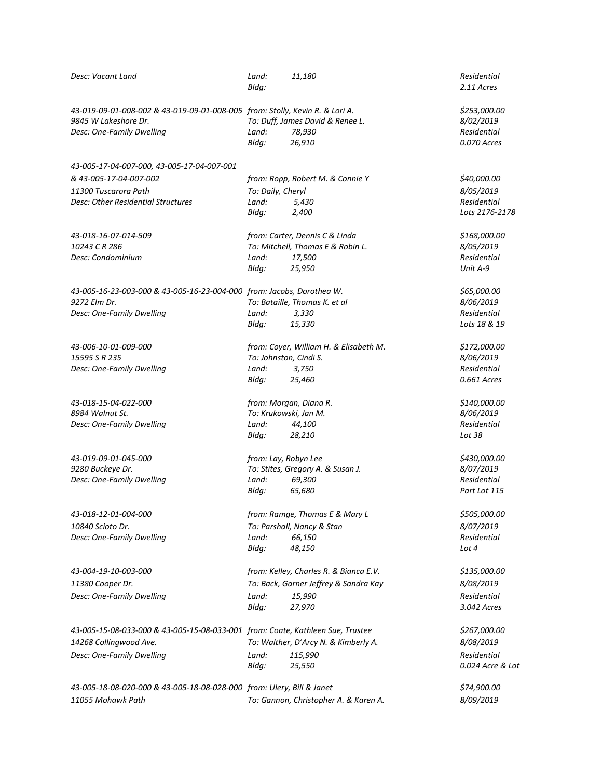| Desc: Vacant Land                                                                                    | Land:<br>Bldg:                   | 11,180                                 | Residential<br>2.11 Acres |
|------------------------------------------------------------------------------------------------------|----------------------------------|----------------------------------------|---------------------------|
| 43-019-09-01-008-002 & 43-019-09-01-008-005 from: Stolly, Kevin R. & Lori A.<br>9845 W Lakeshore Dr. | To: Duff, James David & Renee L. |                                        | \$253,000.00<br>8/02/2019 |
| Desc: One-Family Dwelling                                                                            | Land:                            | 78,930                                 | Residential               |
|                                                                                                      | Bldg:                            | 26,910                                 | 0.070 Acres               |
| 43-005-17-04-007-000, 43-005-17-04-007-001                                                           |                                  |                                        |                           |
| & 43-005-17-04-007-002                                                                               |                                  | from: Ropp, Robert M. & Connie Y       | \$40,000.00               |
| 11300 Tuscarora Path                                                                                 | To: Daily, Cheryl                |                                        | 8/05/2019                 |
| Desc: Other Residential Structures                                                                   | Land:                            | 5,430                                  | Residential               |
|                                                                                                      | Bldg:                            | 2,400                                  | Lots 2176-2178            |
| 43-018-16-07-014-509                                                                                 |                                  | from: Carter, Dennis C & Linda         | \$168,000.00              |
| 10243 CR 286                                                                                         |                                  | To: Mitchell, Thomas E & Robin L.      | 8/05/2019                 |
| Desc: Condominium                                                                                    | Land:                            | 17,500                                 | Residential               |
|                                                                                                      | Bldg:                            | 25,950                                 | Unit A-9                  |
| 43-005-16-23-003-000 & 43-005-16-23-004-000 from: Jacobs, Dorothea W.                                |                                  |                                        | \$65,000.00               |
| 9272 Elm Dr.                                                                                         |                                  | To: Bataille, Thomas K. et al          | 8/06/2019                 |
| Desc: One-Family Dwelling                                                                            | Land:                            | 3,330                                  | Residential               |
|                                                                                                      | Bldg:                            | 15,330                                 | Lots 18 & 19              |
| 43-006-10-01-009-000                                                                                 |                                  | from: Coyer, William H. & Elisabeth M. | \$172,000.00              |
| 15595 S R 235                                                                                        |                                  | To: Johnston, Cindi S.                 | 8/06/2019                 |
| Desc: One-Family Dwelling                                                                            | Land:                            | 3,750                                  | Residential               |
|                                                                                                      | Bldq:                            | 25,460                                 | 0.661 Acres               |
| 43-018-15-04-022-000                                                                                 |                                  | from: Morgan, Diana R.                 | \$140,000.00              |
| 8984 Walnut St.                                                                                      |                                  | To: Krukowski, Jan M.                  | 8/06/2019                 |
| Desc: One-Family Dwelling                                                                            | Land:                            | 44,100                                 | Residential               |
|                                                                                                      | Bldq:                            | 28,210                                 | Lot 38                    |
| 43-019-09-01-045-000                                                                                 |                                  | from: Lay, Robyn Lee                   | \$430,000.00              |
| 9280 Buckeye Dr.                                                                                     |                                  | To: Stites, Gregory A. & Susan J.      | 8/07/2019                 |
| Desc: One-Family Dwelling                                                                            | Land:                            | 69,300                                 | Residential               |
|                                                                                                      | Bldg:                            | 65,680                                 | Part Lot 115              |
| 43-018-12-01-004-000                                                                                 |                                  | from: Ramge, Thomas E & Mary L         | \$505,000.00              |
| 10840 Scioto Dr.                                                                                     |                                  | To: Parshall, Nancy & Stan             | 8/07/2019                 |
| Desc: One-Family Dwelling                                                                            | Land:                            | 66,150                                 | Residential               |
|                                                                                                      | Bldg:                            | 48,150                                 | Lot 4                     |
| 43-004-19-10-003-000                                                                                 |                                  | from: Kelley, Charles R. & Bianca E.V. | \$135,000.00              |
| 11380 Cooper Dr.                                                                                     |                                  | To: Back, Garner Jeffrey & Sandra Kay  | 8/08/2019                 |
| Desc: One-Family Dwelling                                                                            | Land:                            | 15,990                                 | Residential               |
|                                                                                                      | Bldg:                            | 27,970                                 | 3.042 Acres               |
| 43-005-15-08-033-000 & 43-005-15-08-033-001 from: Coate, Kathleen Sue, Trustee                       |                                  |                                        | \$267,000.00              |
| 14268 Collingwood Ave.                                                                               |                                  | To: Walther, D'Arcy N. & Kimberly A.   | 8/08/2019                 |
| Desc: One-Family Dwelling                                                                            | Land:                            | 115,990                                | Residential               |
|                                                                                                      | Bldg:                            | 25,550                                 | 0.024 Acre & Lot          |
| 43-005-18-08-020-000 & 43-005-18-08-028-000 from: Ulery, Bill & Janet                                |                                  |                                        | \$74,900.00               |
| 11055 Mohawk Path                                                                                    |                                  | To: Gannon, Christopher A. & Karen A.  | 8/09/2019                 |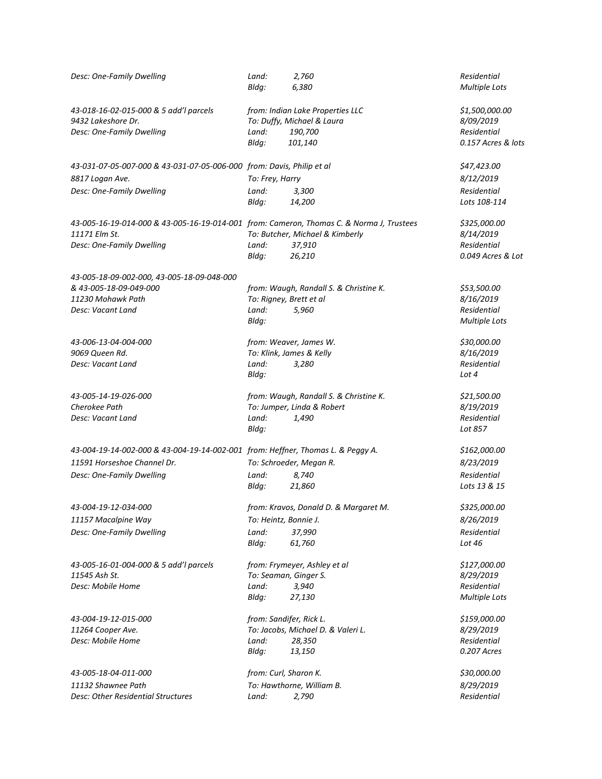| Desc: One-Family Dwelling                                                                | Land:                   | 2,760                                  | Residential          |
|------------------------------------------------------------------------------------------|-------------------------|----------------------------------------|----------------------|
|                                                                                          | Bldg:                   | 6,380                                  | <b>Multiple Lots</b> |
| 43-018-16-02-015-000 & 5 add'l parcels                                                   |                         | from: Indian Lake Properties LLC       | \$1,500,000.00       |
| 9432 Lakeshore Dr.                                                                       |                         | To: Duffy, Michael & Laura             | 8/09/2019            |
| Desc: One-Family Dwelling                                                                | Land:                   | 190,700                                | Residential          |
|                                                                                          | Bldg:                   | 101,140                                | 0.157 Acres & lots   |
| 43-031-07-05-007-000 & 43-031-07-05-006-000 from: Davis, Philip et al                    |                         |                                        | \$47,423.00          |
| 8817 Logan Ave.                                                                          | To: Frey, Harry         |                                        | 8/12/2019            |
| Desc: One-Family Dwelling                                                                | Land:                   | 3,300                                  | Residential          |
|                                                                                          | Bldg:                   | 14,200                                 | Lots 108-114         |
| 43-005-16-19-014-000 & 43-005-16-19-014-001 from: Cameron, Thomas C. & Norma J, Trustees |                         |                                        | \$325,000.00         |
| 11171 Elm St.                                                                            |                         | To: Butcher, Michael & Kimberly        | 8/14/2019            |
| Desc: One-Family Dwelling                                                                | Land:                   | 37,910                                 | Residential          |
|                                                                                          | Bldg:                   | 26,210                                 | 0.049 Acres & Lot    |
| 43-005-18-09-002-000, 43-005-18-09-048-000                                               |                         |                                        |                      |
| & 43-005-18-09-049-000                                                                   |                         | from: Waugh, Randall S. & Christine K. | \$53,500.00          |
| 11230 Mohawk Path                                                                        | To: Rigney, Brett et al |                                        | 8/16/2019            |
| Desc: Vacant Land                                                                        | Land:                   | 5,960                                  | Residential          |
|                                                                                          | Bldg:                   |                                        | <b>Multiple Lots</b> |
| 43-006-13-04-004-000                                                                     |                         | from: Weaver, James W.                 | \$30,000.00          |
| 9069 Queen Rd.                                                                           |                         | To: Klink, James & Kelly               | 8/16/2019            |
| Desc: Vacant Land                                                                        | Land:                   | 3,280                                  | Residential          |
|                                                                                          | Bldg:                   |                                        | Lot 4                |
| 43-005-14-19-026-000                                                                     |                         | from: Waugh, Randall S. & Christine K. | \$21,500.00          |
| Cherokee Path                                                                            |                         | To: Jumper, Linda & Robert             | 8/19/2019            |
| Desc: Vacant Land                                                                        | Land:                   | 1,490                                  | Residential          |
|                                                                                          | Bldg:                   |                                        | Lot 857              |
| 43-004-19-14-002-000 & 43-004-19-14-002-001 from: Heffner, Thomas L. & Peggy A.          |                         |                                        | \$162,000.00         |
| 11591 Horseshoe Channel Dr.                                                              |                         | To: Schroeder, Megan R.                | 8/23/2019            |
| Desc: One-Family Dwelling                                                                | Land:                   | 8,740                                  | Residential          |
|                                                                                          | Bldg:                   | 21,860                                 | Lots 13 & 15         |
| 43-004-19-12-034-000                                                                     |                         | from: Kravos, Donald D. & Margaret M.  | \$325,000.00         |
| 11157 Macalpine Way                                                                      | To: Heintz, Bonnie J.   |                                        | 8/26/2019            |
| Desc: One-Family Dwelling                                                                | Land:                   | 37,990                                 | Residential          |
|                                                                                          | Bldg:                   | 61,760                                 | Lot 46               |
| 43-005-16-01-004-000 & 5 add'l parcels                                                   |                         | from: Frymeyer, Ashley et al           | \$127,000.00         |
| 11545 Ash St.                                                                            | To: Seaman, Ginger S.   |                                        | 8/29/2019            |
| Desc: Mobile Home                                                                        | Land:                   | 3,940                                  | Residential          |
|                                                                                          | Bldg:                   | 27,130                                 | <b>Multiple Lots</b> |
| 43-004-19-12-015-000                                                                     | from: Sandifer, Rick L. |                                        | \$159,000.00         |
| 11264 Cooper Ave.                                                                        |                         | To: Jacobs, Michael D. & Valeri L.     | 8/29/2019            |
| Desc: Mobile Home                                                                        | Land:                   | 28,350                                 | Residential          |
|                                                                                          | Bldg:                   | 13,150                                 | 0.207 Acres          |
| 43-005-18-04-011-000                                                                     | from: Curl, Sharon K.   |                                        | \$30,000.00          |
| 11132 Shawnee Path                                                                       |                         | To: Hawthorne, William B.              | 8/29/2019            |
| Desc: Other Residential Structures                                                       | Land:                   | 2,790                                  | Residential          |
|                                                                                          |                         |                                        |                      |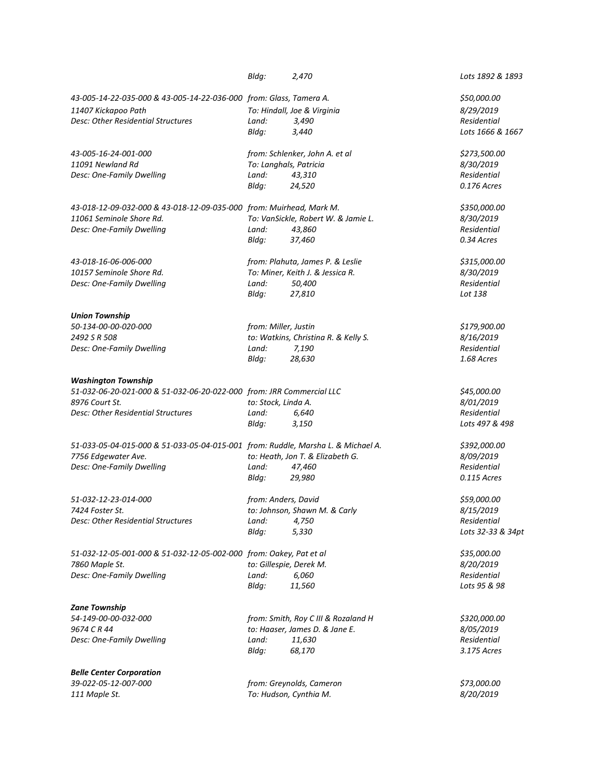|                                                                                      | Bldg:                   | 2,470                                |  | Lots 1892 & 1893                 |
|--------------------------------------------------------------------------------------|-------------------------|--------------------------------------|--|----------------------------------|
| 43-005-14-22-035-000 & 43-005-14-22-036-000 from: Glass, Tamera A.                   |                         |                                      |  | \$50,000.00                      |
| 11407 Kickapoo Path                                                                  |                         | To: Hindall, Joe & Virginia          |  | 8/29/2019                        |
| Desc: Other Residential Structures                                                   | Land:                   | 3,490                                |  | <b>Residential</b>               |
|                                                                                      | Bldg:                   | 3,440                                |  | Lots 1666 & 1667                 |
| 43-005-16-24-001-000                                                                 |                         | from: Schlenker, John A. et al       |  | \$273,500.00                     |
| 11091 Newland Rd                                                                     | To: Langhals, Patricia  |                                      |  | 8/30/2019                        |
| Desc: One-Family Dwelling                                                            | Land:                   | 43,310                               |  | Residential                      |
|                                                                                      | Bldg:                   | 24,520                               |  | 0.176 Acres                      |
| 43-018-12-09-032-000 & 43-018-12-09-035-000 from: Muirhead, Mark M.                  |                         |                                      |  | \$350,000.00                     |
| 11061 Seminole Shore Rd.                                                             |                         | To: VanSickle, Robert W. & Jamie L.  |  | 8/30/2019                        |
| Desc: One-Family Dwelling                                                            | Land:                   | 43,860                               |  | Residential                      |
|                                                                                      | Bldg:                   | 37,460                               |  | 0.34 Acres                       |
| 43-018-16-06-006-000                                                                 |                         | from: Plahuta, James P. & Leslie     |  | \$315,000.00                     |
| 10157 Seminole Shore Rd.                                                             |                         | To: Miner, Keith J. & Jessica R.     |  | 8/30/2019                        |
| Desc: One-Family Dwelling                                                            | Land:                   | 50,400                               |  | Residential                      |
|                                                                                      | Bldg:                   | 27,810                               |  | Lot 138                          |
| <b>Union Township</b>                                                                |                         |                                      |  |                                  |
| 50-134-00-00-020-000                                                                 | from: Miller, Justin    |                                      |  | \$179,900.00                     |
| 2492 S R 508                                                                         |                         | to: Watkins, Christina R. & Kelly S. |  | 8/16/2019                        |
| Desc: One-Family Dwelling                                                            | Land:                   | 7,190                                |  | Residential                      |
|                                                                                      | Bldg:                   | 28,630                               |  | 1.68 Acres                       |
| <b>Washington Township</b>                                                           |                         |                                      |  |                                  |
| 51-032-06-20-021-000 & 51-032-06-20-022-000 from: JRR Commercial LLC                 |                         |                                      |  | \$45,000.00                      |
| 8976 Court St.                                                                       | to: Stock, Linda A.     |                                      |  | 8/01/2019                        |
| <b>Desc: Other Residential Structures</b>                                            | Land:                   | 6,640                                |  | Residential                      |
|                                                                                      | Bldg:                   | 3,150                                |  | Lots 497 & 498                   |
| 51-033-05-04-015-000 & 51-033-05-04-015-001 from: Ruddle, Marsha L. & Michael A.     |                         |                                      |  | \$392,000.00                     |
| 7756 Edgewater Ave.                                                                  |                         | to: Heath, Jon T. & Elizabeth G.     |  | 8/09/2019                        |
| Desc: One-Family Dwelling                                                            | Land:                   | 47,460                               |  | Residential                      |
|                                                                                      | Bldg:                   | 29,980                               |  | 0.115 Acres                      |
| 51-032-12-23-014-000                                                                 | from: Anders, David     |                                      |  | \$59,000.00                      |
| 7424 Foster St.                                                                      |                         | to: Johnson, Shawn M. & Carly        |  | 8/15/2019                        |
| Desc: Other Residential Structures                                                   | Land:<br>Bldg:          | 4,750<br>5,330                       |  | Residential<br>Lots 32-33 & 34pt |
|                                                                                      |                         |                                      |  | \$35,000.00                      |
| 51-032-12-05-001-000 & 51-032-12-05-002-000 from: Oakey, Pat et al<br>7860 Maple St. | to: Gillespie, Derek M. |                                      |  | 8/20/2019                        |
| Desc: One-Family Dwelling                                                            | Land:                   | 6,060                                |  | Residential                      |
|                                                                                      | Bldg:                   | 11,560                               |  | Lots 95 & 98                     |
|                                                                                      |                         |                                      |  |                                  |
| <b>Zane Township</b>                                                                 |                         |                                      |  |                                  |
| 54-149-00-00-032-000                                                                 |                         | from: Smith, Roy C III & Rozaland H  |  | \$320,000.00                     |
| 9674 C R 44                                                                          |                         | to: Haaser, James D. & Jane E.       |  | 8/05/2019                        |
| Desc: One-Family Dwelling                                                            | Land:                   | 11,630                               |  | Residential                      |
|                                                                                      | Bldg:                   | 68,170                               |  | 3.175 Acres                      |
| <b>Belle Center Corporation</b>                                                      |                         |                                      |  |                                  |
| 39-022-05-12-007-000                                                                 |                         | from: Greynolds, Cameron             |  | \$73,000.00                      |
| 111 Maple St.                                                                        |                         | To: Hudson, Cynthia M.               |  | 8/20/2019                        |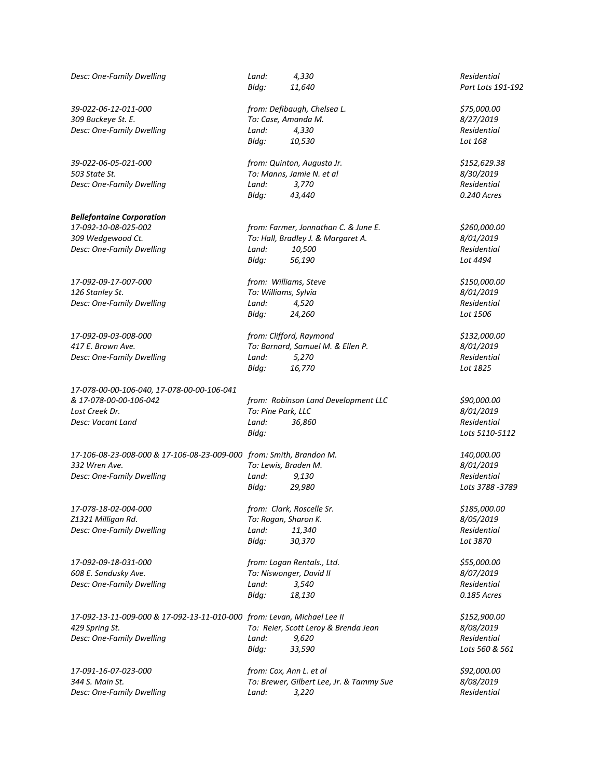| Desc: One-Family Dwelling                                               | Land:                       | 4,330                                    | Residential       |
|-------------------------------------------------------------------------|-----------------------------|------------------------------------------|-------------------|
|                                                                         | Bldg:                       | 11,640                                   | Part Lots 191-192 |
| 39-022-06-12-011-000                                                    | from: Defibaugh, Chelsea L. |                                          | \$75,000.00       |
| 309 Buckeye St. E.                                                      |                             | To: Case, Amanda M.                      | 8/27/2019         |
| Desc: One-Family Dwelling                                               | Land:                       | 4,330                                    | Residential       |
|                                                                         | Bldg:                       | 10,530                                   | Lot 168           |
| 39-022-06-05-021-000                                                    |                             | from: Quinton, Augusta Jr.               | \$152,629.38      |
| 503 State St.                                                           |                             | To: Manns, Jamie N. et al                | 8/30/2019         |
| Desc: One-Family Dwelling                                               | Land:                       | 3,770                                    | Residential       |
|                                                                         | Bldg:                       | 43,440                                   | 0.240 Acres       |
| <b>Bellefontaine Corporation</b>                                        |                             |                                          |                   |
| 17-092-10-08-025-002                                                    |                             | from: Farmer, Jonnathan C. & June E.     | \$260,000.00      |
| 309 Wedgewood Ct.                                                       |                             | To: Hall, Bradley J. & Margaret A.       | 8/01/2019         |
| Desc: One-Family Dwelling                                               | Land:                       | 10,500                                   | Residential       |
|                                                                         | Bldg:                       | 56,190                                   | Lot 4494          |
| 17-092-09-17-007-000                                                    |                             | from: Williams, Steve                    | \$150,000.00      |
| 126 Stanley St.                                                         |                             | To: Williams, Sylvia                     | 8/01/2019         |
| Desc: One-Family Dwelling                                               | Land:                       | 4,520                                    | Residential       |
|                                                                         | Bldq:                       | 24,260                                   | Lot 1506          |
| 17-092-09-03-008-000                                                    |                             | from: Clifford, Raymond                  | \$132,000.00      |
| 417 E. Brown Ave.                                                       |                             | To: Barnard, Samuel M. & Ellen P.        | 8/01/2019         |
| Desc: One-Family Dwelling                                               | Land:                       | 5,270                                    | Residential       |
|                                                                         | Bldg:                       | 16,770                                   | Lot 1825          |
| 17-078-00-00-106-040, 17-078-00-00-106-041                              |                             |                                          |                   |
| & 17-078-00-00-106-042                                                  |                             | from: Robinson Land Development LLC      | \$90,000.00       |
| Lost Creek Dr.                                                          | To: Pine Park, LLC          |                                          | 8/01/2019         |
| Desc: Vacant Land                                                       | Land:                       | 36,860                                   | Residential       |
|                                                                         | Bldg:                       |                                          | Lots 5110-5112    |
| 17-106-08-23-008-000 & 17-106-08-23-009-000 from: Smith, Brandon M.     |                             |                                          | 140,000.00        |
| 332 Wren Ave.                                                           |                             | To: Lewis, Braden M.                     | 8/01/2019         |
| Desc: One-Family Dwelling                                               | Land:                       | 9,130                                    | Residential       |
|                                                                         | Bldg:                       | 29,980                                   | Lots 3788 - 3789  |
| 17-078-18-02-004-000                                                    |                             | from: Clark, Roscelle Sr.                | \$185,000.00      |
| Z1321 Milligan Rd.                                                      |                             | To: Rogan, Sharon K.                     | 8/05/2019         |
| Desc: One-Family Dwelling                                               | Land:                       | 11,340                                   | Residential       |
|                                                                         | Bldg:                       | 30,370                                   | Lot 3870          |
| 17-092-09-18-031-000                                                    |                             | from: Logan Rentals., Ltd.               | \$55,000.00       |
| 608 E. Sandusky Ave.                                                    |                             | To: Niswonger, David II                  | 8/07/2019         |
| Desc: One-Family Dwelling                                               | Land:                       | 3,540                                    | Residential       |
|                                                                         | Bldg:                       | 18,130                                   | 0.185 Acres       |
| 17-092-13-11-009-000 & 17-092-13-11-010-000 from: Levan, Michael Lee II |                             |                                          | \$152,900.00      |
| 429 Spring St.                                                          |                             | To: Reier, Scott Leroy & Brenda Jean     | 8/08/2019         |
| Desc: One-Family Dwelling                                               | Land:                       | 9,620                                    | Residential       |
|                                                                         | Bldg:                       | 33,590                                   | Lots 560 & 561    |
| 17-091-16-07-023-000                                                    |                             | from: Cox, Ann L. et al                  | \$92,000.00       |
| 344 S. Main St.                                                         |                             | To: Brewer, Gilbert Lee, Jr. & Tammy Sue | 8/08/2019         |
| Desc: One-Family Dwelling                                               | Land:                       | 3,220                                    | Residential       |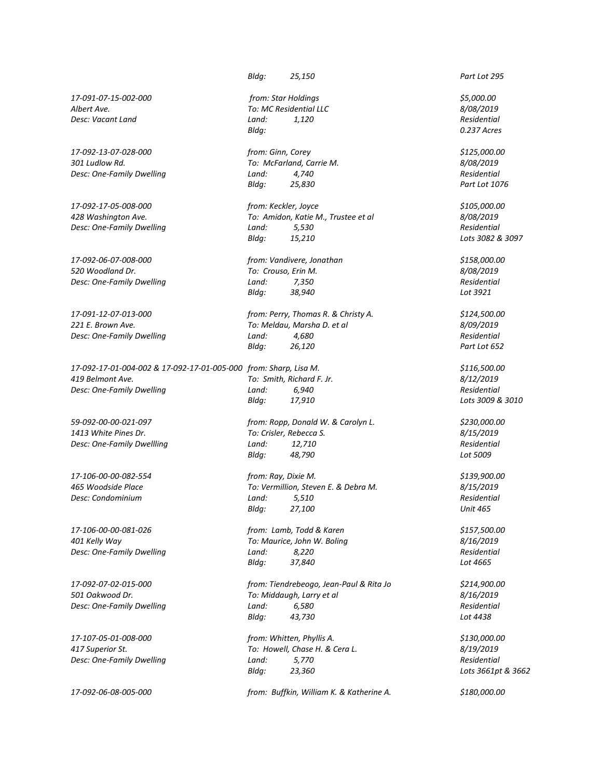*Albert Ave. To: MC Residential LLC 8/08/2019 Desc: Vacant Land Land: 1,120 Residential*

*17-092-13-07-028-000 from: Ginn, Corey \$125,000.00 301 Ludlow Rd. To: McFarland, Carrie M. 8/08/2019 Desc: One-Family Dwelling Land: 4,740 Residential*

*520 Woodland Dr. To: Crouso, Erin M. 8/08/2019 Desc: One-Family Dwelling Land:* 7,350

*17-092-17-01-004-002 & 17-092-17-01-005-000 from: Sharp, Lisa M. \$116,500.00 419 Belmont Ave. To: Smith, Richard F. Jr. 8/12/2019 Desc: One-Family Dwelling Land: 6,940 Residential*

*Desc: One-Family Dwelling Land:* 8,220

*17-107-05-01-008-000 from: Whitten, Phyllis A. \$130,000.00*

*Bldg: 25,150 Part Lot 295*

*17-091-07-15-002-000 from: Star Holdings \$5,000.00 Bldg: 0.237 Acres*

*Bldg: 25,830 Part Lot 1076* 

*17-092-17-05-008-000 from: Keckler, Joyce \$105,000.00 428 Washington Ave. To: Amidon, Katie M., Trustee et al 8/08/2019 Desc: One-Family Dwelling Land: 5,530 Residential Bldg: 15,210 Lots 3082 & 3097* 

*17-092-06-07-008-000 from: Vandivere, Jonathan \$158,000.00 Bldg: 38,940 Lot 3921*

*17-091-12-07-013-000 from: Perry, Thomas R. & Christy A. \$124,500.00 221 E. Brown Ave. To: Meldau, Marsha D. et al 8/09/2019 Desc: One-Family Dwelling Land: 4,680 Residential Bldg: 26,120 Part Lot 652*

*Bldg: 17,910 Lots 3009 & 3010* 

*59-092-00-00-021-097 from: Ropp, Donald W. & Carolyn L. \$230,000.00 1413 White Pines Dr. To: Crisler, Rebecca S. 8/15/2019 Desc: One-Family Dwellling Land: 12,710 Residential Bldg: 48,790 Lot 5009*

*17-106-00-00-082-554 from: Ray, Dixie M. \$139,900.00 465 Woodside Place To: Vermillion, Steven E. & Debra M. 8/15/2019 Desc: Condominium Land: 5,510 Residential Bldg: 27,100 Unit 465*

*17-106-00-00-081-026 from: Lamb, Todd & Karen \$157,500.00 401 Kelly Way To: Maurice, John W. Boling 8/16/2019 Bldg: 37,840 Lot 4665*

*17-092-07-02-015-000 from: Tiendrebeogo, Jean-Paul & Rita Jo \$214,900.00 501 Oakwood Dr. To: Middaugh, Larry et al 8/16/2019 Desc: One-Family Dwelling Land: 6,580 Residential Bldg:* 43,730

*417 Superior St. To: Howell, Chase H. & Cera L. 8/19/2019 Desc: One-Family Dwelling Land: 5,770 Residential Bldg: 23,360 Lots 3661pt & 3662*

*17-092-06-08-005-000 from: Buffkin, William K. & Katherine A. \$180,000.00*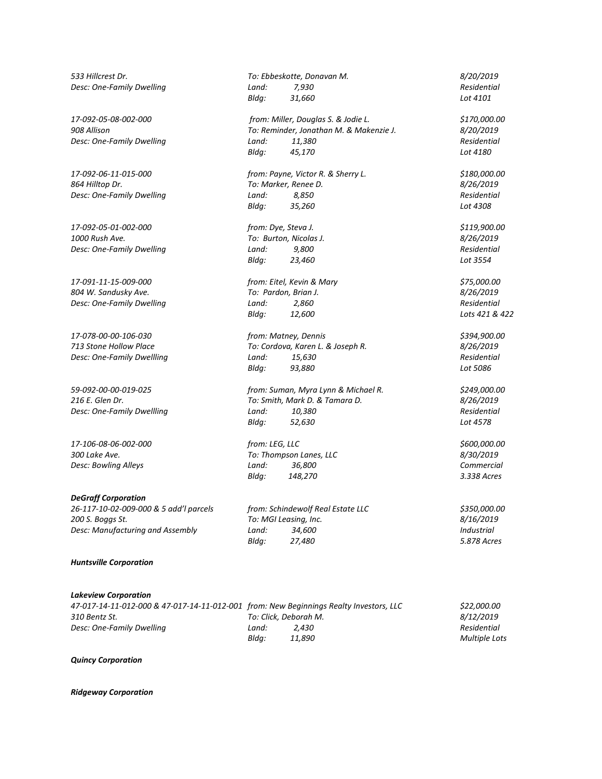*533 Hillcrest Dr. To: Ebbeskotte, Donavan M. 8/20/2019 Desc: One-Family Dwelling Land: 7,930 Residential*

*17-092-05-01-002-000 from: Dye, Steva J. \$119,900.00 1000 Rush Ave. To: Burton, Nicolas J. 8/26/2019 Desc: One-Family Dwelling Land: 9,800 Residential*

*17-091-11-15-009-000 from: Eitel, Kevin & Mary \$75,000.00 804 W. Sandusky Ave. To: Pardon, Brian J. 8/26/2019 Desc: One-Family Dwelling Land: 2,860 Residential*

*Desc: One-Family Dwellling Land: 15,630* 

#### *DeGraff Corporation*

*26-117-10-02-009-000 & 5 add'l parcels from: Schindewolf Real Estate LLC \$350,000.00 200 S. Boggs St. To: MGI Leasing, Inc. 8/16/2019 Desc: Manufacturing and Assembly Land: 34,600 Industrial*

*Huntsville Corporation*

*Lakeview Corporation 47-017-14-11-012-000 & 47-017-14-11-012-001 from: New Beginnings Realty Investors, LLC \$22,000.00 310 Bentz St. To: Click, Deborah M. 8/12/2019 Desc: One-Family Dwelling Land: 2,430 Residential Bldg: 11,890 Multiple Lots*

*Quincy Corporation*

*Ridgeway Corporation*

*Bldg: 31,660 Lot 4101 17-092-05-08-002-000 from: Miller, Douglas S. & Jodie L. \$170,000.00 908 Allison To: Reminder, Jonathan M. & Makenzie J. 8/20/2019 Desc: One-Family Dwelling Land: 11,380 Residential*

*17-092-06-11-015-000 from: Payne, Victor R. & Sherry L. \$180,000.00 864 Hilltop Dr. To: Marker, Renee D. 8/26/2019 Desc: One-Family Dwelling Land: 8,850 Residential Bldg: 35,260 Lot 4308*

*Bldg: 23,460 Lot 3554*

*Bldg: 12,600 Lots 421 & 422*

*17-078-00-00-106-030 from: Matney, Dennis \$394,900.00 713 Stone Hollow Place To: Cordova, Karen L. & Joseph R. 8/26/2019 Bldg: 93,880 Lot 5086*

*59-092-00-00-019-025 from: Suman, Myra Lynn & Michael R. \$249,000.00 216 E. Glen Dr. To: Smith, Mark D. & Tamara D. 8/26/2019 Desc: One-Family Dwellling Land: 10,380 Residential Bldg: 52,630 Lot 4578*

*17-106-08-06-002-000 from: LEG, LLC \$600,000.00 300 Lake Ave. To: Thompson Lanes, LLC 8/30/2019 Desc: Bowling Alleys Land: 36,800 Commercial Bldg: 148,270 3.338 Acres*

*Bldg: 27,480 5.878 Acres*

*Bldg: 45,170 Lot 4180*